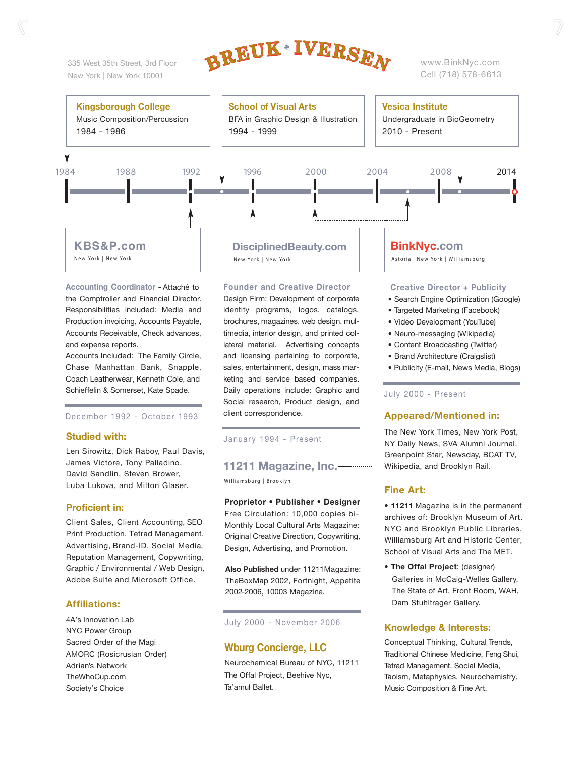335 West 35th Street, 3rd Floor New York | New York 10001



www.BinkNyc.com Cell (718) 578-6613



**Accounting Coordinator -** Attaché to the Comptroller and Financial Director. Responsibilities included: Media and Production invoicing, Accounts Payable, Accounts Receivable, Check advances, and expense reports.

Accounts Included: The Family Circle, Chase Manhattan Bank, Snapple, Coach Leatherwear, Kenneth Cole, and Schieffelin & Somerset, Kate Spade.

December 1992 - October 1993

#### **Studied with:**

Len Sirowitz, Dick Raboy, Paul Davis, James Victore, Tony Palladino, David Sandlin, Steven Brower, Luba Lukova, and Milton Glaser.

#### **Proficient in:**

Client Sales, Client Accounting, SEO Print Production, Tetrad Management, Advertising, Brand-ID, Social Media, Reputation Management, Copywriting, Graphic / Environmental / Web Design, Adobe Suite and Microsoft Office.

#### **Affiliations:**

4A's Innovation Lab NYC Power Group Sacred Order of the Magi AMORC (Rosicrusian Order) Adrian's Network TheWhoCup.com Society's Choice

**Founder and Creative Director**

Design Firm: Development of corporate identity programs, logos, catalogs, brochures, magazines, web design, multimedia, interior design, and printed collateral material. Advertising concepts and licensing pertaining to corporate, sales, entertainment, design, mass marketing and service based companies. Daily operations include: Graphic and Social research, Product design, and client correspondence.

January 1994 - Present

## **11211 Magazine, Inc.**

Williamsburg | Brooklyn

**Proprietor • Publisher • Designer** Free Circulation: 10,000 copies bi-Monthly Local Cultural Arts Magazine: Original Creative Direction, Copywriting, Design, Advertising, and Promotion.

**Also Published** under 11211Magazine: TheBoxMap 2002, Fortnight, Appetite 2002-2006, 10003 Magazine.

#### July 2000 - November 2006

#### **Wburg Concierge, LLC**

Neurochemical Bureau of NYC, 11211 The Offal Project, Beehive Nyc, Ta'amul Ballet.

#### **Creative Director + Publicity**

- Search Engine Optimization (Google)
- Targeted Marketing (Facebook)
- Video Development (YouTube)
- Neuro-messaging (Wikipedia)
- Content Broadcasting (Twitter)
- Brand Architecture (Craigslist)
- Publicity (E-mail, News Media, Blogs)

#### July 2000 - Present

#### **Appeared/Mentioned in:**

The New York Times, New York Post, NY Daily News, SVA Alumni Journal, Greenpoint Star, Newsday, BCAT TV, Wikipedia, and Brooklyn Rail.

#### **Fine Art:**

**• 11211** Magazine is in the permanent archives of: Brooklyn Museum of Art. NYC and Brooklyn Public Libraries, Williamsburg Art and Historic Center, School of Visual Arts and The MET.

**• The Offal Project**: (designer) Galleries in McCaig-Welles Gallery, The State of Art, Front Room, WAH, Dam Stuhltrager Gallery.

#### **Knowledge & Interests:**

Conceptual Thinking, Cultural Trends, Traditional Chinese Medicine, Feng Shui, Tetrad Management, Social Media, Taoism, Metaphysics, Neurochemistry, Music Composition & Fine Art.